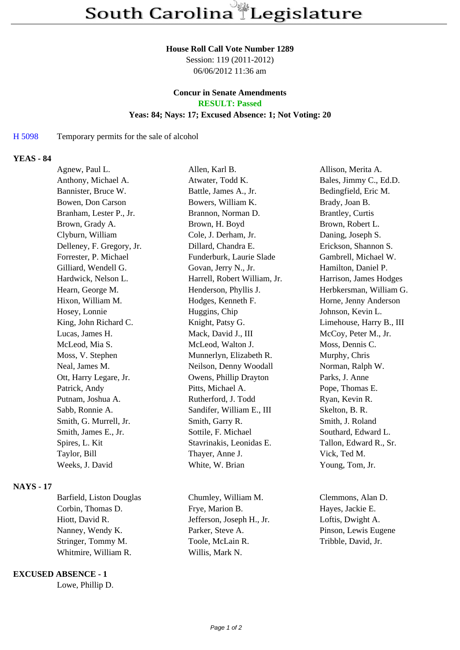#### **House Roll Call Vote Number 1289**

Session: 119 (2011-2012) 06/06/2012 11:36 am

# **Concur in Senate Amendments**

**RESULT: Passed**

#### **Yeas: 84; Nays: 17; Excused Absence: 1; Not Voting: 20**

### H 5098 Temporary permits for the sale of alcohol

### **YEAS - 84**

| Agnew, Paul L.            | Allen, Karl B.               | Allison, Merita A.       |
|---------------------------|------------------------------|--------------------------|
| Anthony, Michael A.       | Atwater, Todd K.             | Bales, Jimmy C., Ed.D.   |
| Bannister, Bruce W.       | Battle, James A., Jr.        | Bedingfield, Eric M.     |
| Bowen, Don Carson         | Bowers, William K.           | Brady, Joan B.           |
| Branham, Lester P., Jr.   | Brannon, Norman D.           | Brantley, Curtis         |
| Brown, Grady A.           | Brown, H. Boyd               | Brown, Robert L.         |
| Clyburn, William          | Cole, J. Derham, Jr.         | Daning, Joseph S.        |
| Delleney, F. Gregory, Jr. | Dillard, Chandra E.          | Erickson, Shannon S.     |
| Forrester, P. Michael     | Funderburk, Laurie Slade     | Gambrell, Michael W.     |
| Gilliard, Wendell G.      | Govan, Jerry N., Jr.         | Hamilton, Daniel P.      |
| Hardwick, Nelson L.       | Harrell, Robert William, Jr. | Harrison, James Hodges   |
| Hearn, George M.          | Henderson, Phyllis J.        | Herbkersman, William G.  |
| Hixon, William M.         | Hodges, Kenneth F.           | Horne, Jenny Anderson    |
| Hosey, Lonnie             | Huggins, Chip                | Johnson, Kevin L.        |
| King, John Richard C.     | Knight, Patsy G.             | Limehouse, Harry B., III |
| Lucas, James H.           | Mack, David J., III          | McCoy, Peter M., Jr.     |
| McLeod, Mia S.            | McLeod, Walton J.            | Moss, Dennis C.          |
| Moss, V. Stephen          | Munnerlyn, Elizabeth R.      | Murphy, Chris            |
| Neal, James M.            | Neilson, Denny Woodall       | Norman, Ralph W.         |
| Ott, Harry Legare, Jr.    | Owens, Phillip Drayton       | Parks, J. Anne           |
| Patrick, Andy             | Pitts, Michael A.            | Pope, Thomas E.          |
| Putnam, Joshua A.         | Rutherford, J. Todd          | Ryan, Kevin R.           |
| Sabb, Ronnie A.           | Sandifer, William E., III    | Skelton, B. R.           |
| Smith, G. Murrell, Jr.    | Smith, Garry R.              | Smith, J. Roland         |
| Smith, James E., Jr.      | Sottile, F. Michael          | Southard, Edward L.      |
| Spires, L. Kit            | Stavrinakis, Leonidas E.     | Tallon, Edward R., Sr.   |
| Taylor, Bill              | Thayer, Anne J.              | Vick, Ted M.             |
| Weeks, J. David           | White, W. Brian              | Young, Tom, Jr.          |
|                           |                              |                          |

## **NAYS - 17**

Corbin, Thomas D. Frye, Marion B. Hayes, Jackie E. Hiott, David R. Jefferson, Joseph H., Jr. Loftis, Dwight A. Nanney, Wendy K. Parker, Steve A. Pinson, Lewis Eugene Stringer, Tommy M. Toole, McLain R. Tribble, David, Jr. Whitmire, William R. Willis, Mark N.

#### **EXCUSED ABSENCE - 1**

Lowe, Phillip D.

Barfield, Liston Douglas Chumley, William M. Clemmons, Alan D.